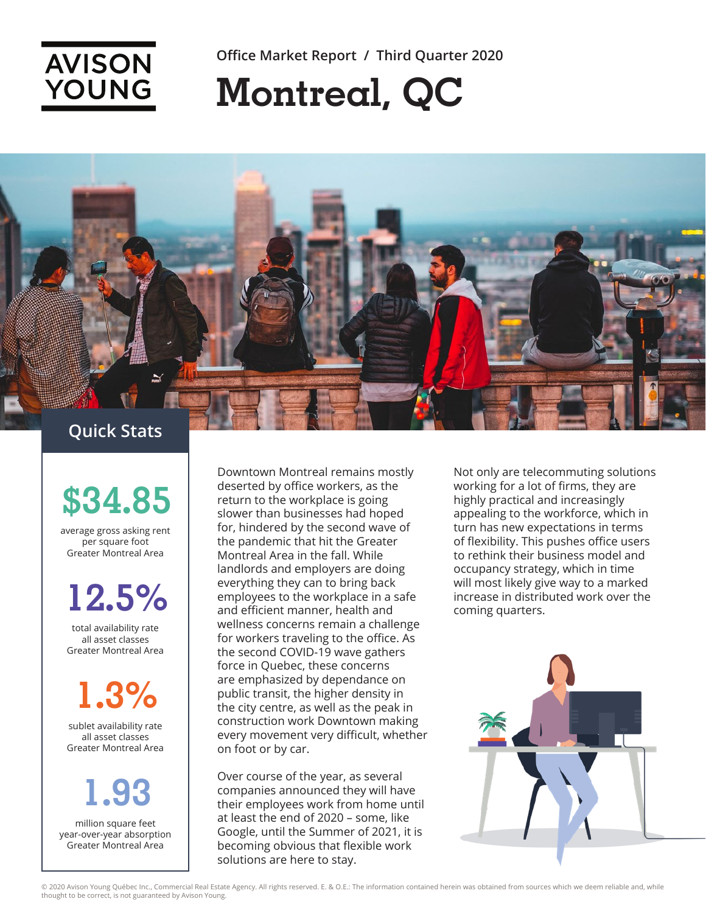

**Office Market Report / Third Quarter 2020**

## **Montreal, QC**



**\$34.85**

average gross asking rent per square foot Greater Montreal Area

## **12.5%**

total availability rate all asset classes Greater Montreal Area

**1.3%**

sublet availability rate all asset classes Greater Montreal Area

## **1.93**

million square feet year-over-year absorption Greater Montreal Area

Downtown Montreal remains mostly deserted by office workers, as the return to the workplace is going slower than businesses had hoped for, hindered by the second wave of the pandemic that hit the Greater Montreal Area in the fall. While landlords and employers are doing everything they can to bring back employees to the workplace in a safe and efficient manner, health and wellness concerns remain a challenge for workers traveling to the office. As the second COVID-19 wave gathers force in Quebec, these concerns are emphasized by dependance on public transit, the higher density in the city centre, as well as the peak in construction work Downtown making every movement very difficult, whether on foot or by car.

Over course of the year, as several companies announced they will have their employees work from home until at least the end of 2020 – some, like Google, until the Summer of 2021, it is becoming obvious that flexible work solutions are here to stay.

Not only are telecommuting solutions working for a lot of firms, they are highly practical and increasingly appealing to the workforce, which in turn has new expectations in terms of flexibility. This pushes office users to rethink their business model and occupancy strategy, which in time will most likely give way to a marked increase in distributed work over the coming quarters.

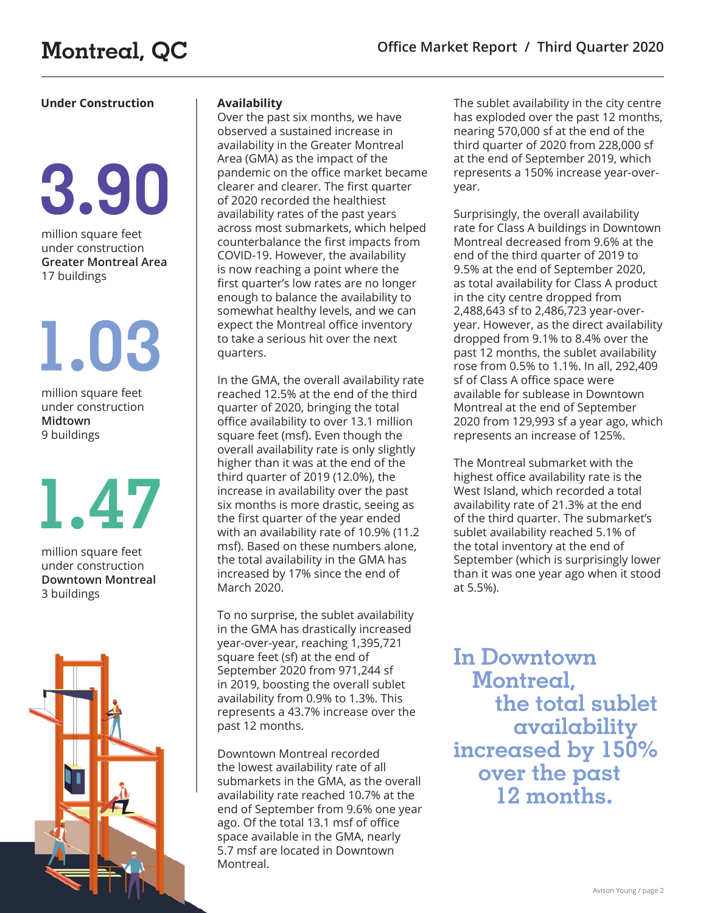# 3.90

million square feet under construction **Greater Montreal Area** 17 buildings

# 1.03

million square feet under construction **Midtown**  9 buildings

# 1.47

million square feet under construction **Downtown Montreal**  3 buildings



### **Availability**

Over the past six months, we have observed a sustained increase in availability in the Greater Montreal Area (GMA) as the impact of the pandemic on the office market became clearer and clearer. The first quarter of 2020 recorded the healthiest availability rates of the past years across most submarkets, which helped counterbalance the first impacts from COVID-19. However, the availability is now reaching a point where the first quarter's low rates are no longer enough to balance the availability to somewhat healthy levels, and we can expect the Montreal office inventory to take a serious hit over the next quarters.

In the GMA, the overall availability rate reached 12.5% at the end of the third quarter of 2020, bringing the total office availability to over 13.1 million square feet (msf). Even though the overall availability rate is only slightly higher than it was at the end of the third quarter of 2019 (12.0%), the increase in availability over the past six months is more drastic, seeing as the first quarter of the year ended with an availability rate of 10.9% (11.2 msf). Based on these numbers alone, the total availability in the GMA has increased by 17% since the end of March 2020.

To no surprise, the sublet availability in the GMA has drastically increased year-over-year, reaching 1,395,721 square feet (sf) at the end of September 2020 from 971,244 sf in 2019, boosting the overall sublet availability from 0.9% to 1.3%. This represents a 43.7% increase over the past 12 months.

Downtown Montreal recorded the lowest availability rate of all submarkets in the GMA, as the overall availability rate reached 10.7% at the end of September from 9.6% one year ago. Of the total 13.1 msf of office space available in the GMA, nearly 5.7 msf are located in Downtown Montreal.

**Under Construction The sublet availability The sublet availability in the city centre** has exploded over the past 12 months, nearing 570,000 sf at the end of the third quarter of 2020 from 228,000 sf at the end of September 2019, which represents a 150% increase year-overyear.

> Surprisingly, the overall availability rate for Class A buildings in Downtown Montreal decreased from 9.6% at the end of the third quarter of 2019 to 9.5% at the end of September 2020, as total availability for Class A product in the city centre dropped from 2,488,643 sf to 2,486,723 year-overyear. However, as the direct availability dropped from 9.1% to 8.4% over the past 12 months, the sublet availability rose from 0.5% to 1.1%. In all, 292,409 sf of Class A office space were available for sublease in Downtown Montreal at the end of September 2020 from 129,993 sf a year ago, which represents an increase of 125%.

> The Montreal submarket with the highest office availability rate is the West Island, which recorded a total availability rate of 21.3% at the end of the third quarter. The submarket's sublet availability reached 5.1% of the total inventory at the end of September (which is surprisingly lower than it was one year ago when it stood at 5.5%).

**In Downtown Montreal, the total sublet availability increased by 150% over the past 12 months.**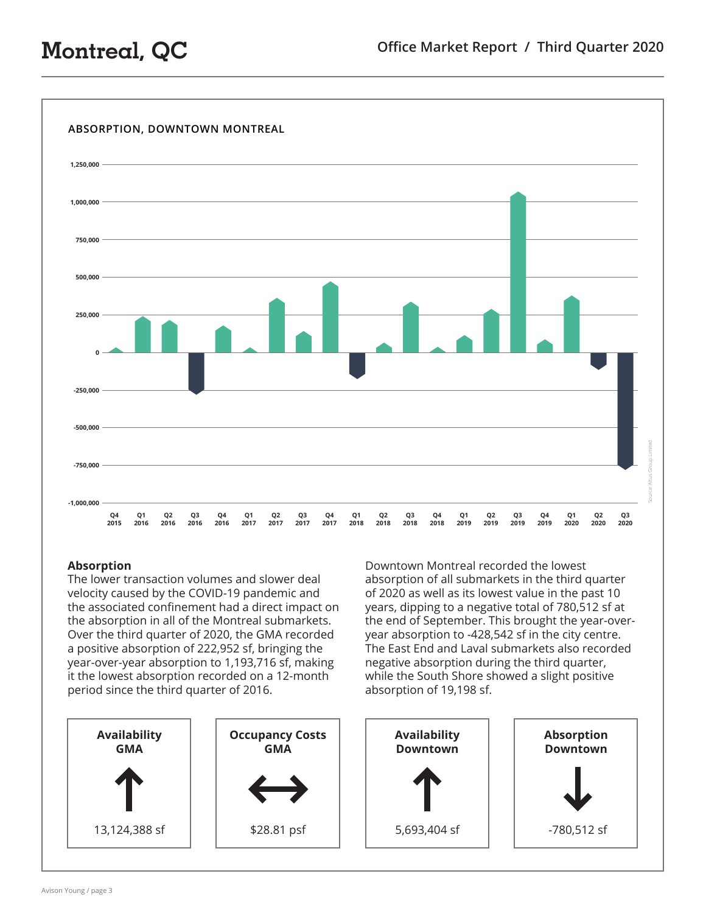

### **Absorption**

The lower transaction volumes and slower deal velocity caused by the COVID-19 pandemic and the associated confinement had a direct impact on the absorption in all of the Montreal submarkets. Over the third quarter of 2020, the GMA recorded a positive absorption of 222,952 sf, bringing the year-over-year absorption to 1,193,716 sf, making it the lowest absorption recorded on a 12-month period since the third quarter of 2016.

Downtown Montreal recorded the lowest absorption of all submarkets in the third quarter of 2020 as well as its lowest value in the past 10 years, dipping to a negative total of 780,512 sf at the end of September. This brought the year-overyear absorption to -428,542 sf in the city centre. The East End and Laval submarkets also recorded negative absorption during the third quarter, while the South Shore showed a slight positive absorption of 19,198 sf.

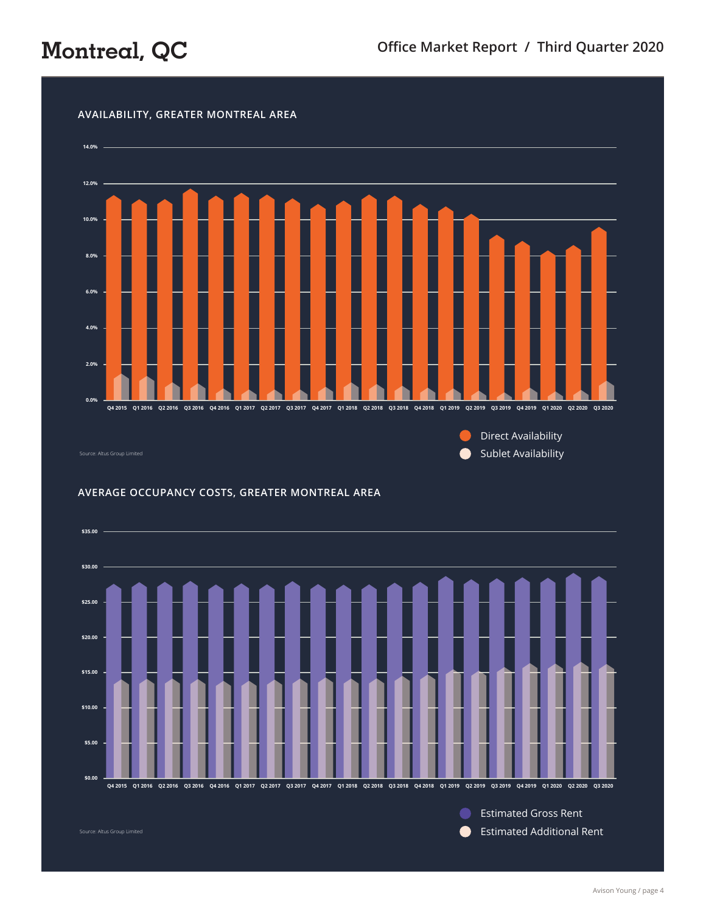

### **AVERAGE OCCUPANCY COSTS, GREATER MONTREAL AREA**



Avison Young / page 4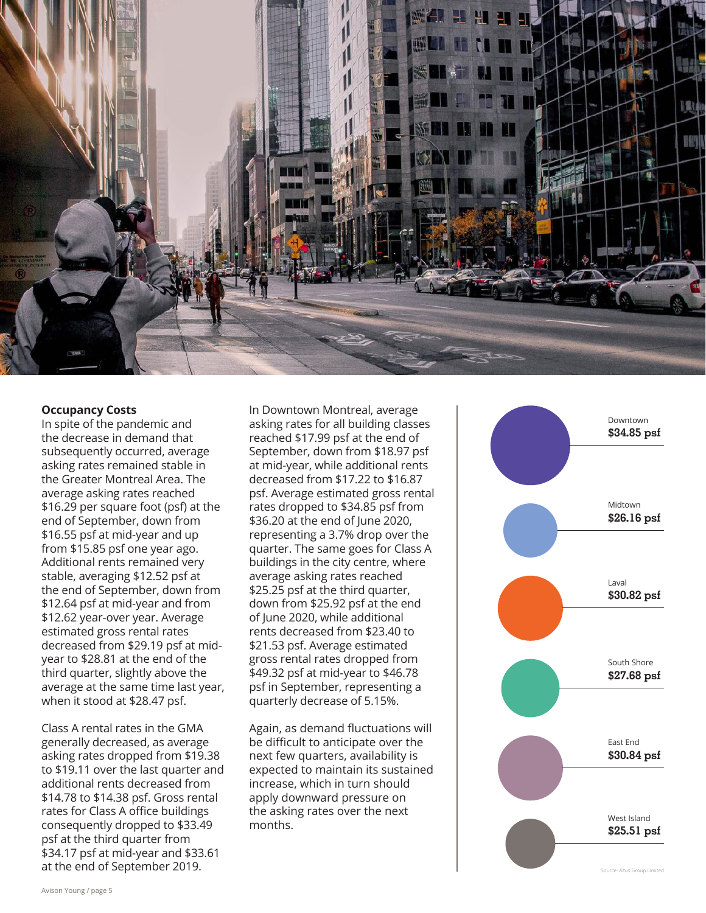

#### **Occupancy Costs**

In spite of the pandemic and the decrease in demand that subsequently occurred, average asking rates remained stable in the Greater Montreal Area. The average asking rates reached \$16.29 per square foot (psf) at the end of September, down from \$16.55 psf at mid-year and up from \$15.85 psf one year ago. Additional rents remained very stable, averaging \$12.52 psf at the end of September, down from \$12.64 psf at mid-year and from \$12.62 year-over year. Average estimated gross rental rates decreased from \$29.19 psf at midyear to \$28.81 at the end of the third quarter, slightly above the average at the same time last year, when it stood at \$28.47 psf.

Class A rental rates in the GMA generally decreased, as average asking rates dropped from \$19.38 to \$19.11 over the last quarter and additional rents decreased from \$14.78 to \$14.38 psf. Gross rental rates for Class A office buildings consequently dropped to \$33.49 psf at the third quarter from \$34.17 psf at mid-year and \$33.61 at the end of September 2019.

In Downtown Montreal, average asking rates for all building classes reached \$17.99 psf at the end of September, down from \$18.97 psf at mid-year, while additional rents decreased from \$17.22 to \$16.87 psf. Average estimated gross rental rates dropped to \$34.85 psf from \$36.20 at the end of June 2020, representing a 3.7% drop over the quarter. The same goes for Class A buildings in the city centre, where average asking rates reached \$25.25 psf at the third quarter, down from \$25.92 psf at the end of June 2020, while additional rents decreased from \$23.40 to \$21.53 psf. Average estimated gross rental rates dropped from \$49.32 psf at mid-year to \$46.78 psf in September, representing a quarterly decrease of 5.15%.

Again, as demand fluctuations will be difficult to anticipate over the next few quarters, availability is expected to maintain its sustained increase, which in turn should apply downward pressure on the asking rates over the next months.